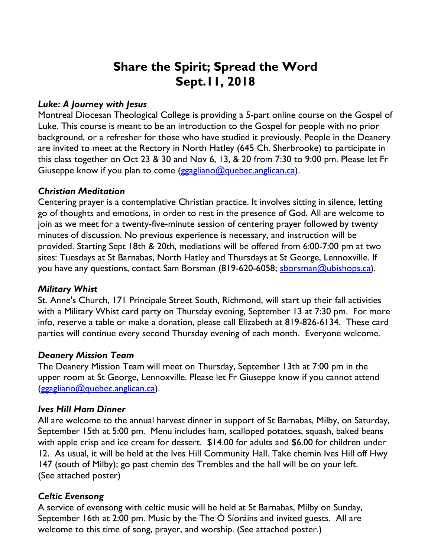# **Share the Spirit; Spread the Word Sept.11, 2018**

# *Luke: A Journey with Jesus*

Montreal Diocesan Theological College is providing a 5-part online course on the Gospel of Luke. This course is meant to be an introduction to the Gospel for people with no prior background, or a refresher for those who have studied it previously. People in the Deanery are invited to meet at the Rectory in North Hatley (645 Ch. Sherbrooke) to participate in this class together on Oct 23 & 30 and Nov 6, 13, & 20 from 7:30 to 9:00 pm. Please let Fr Giuseppe know if you plan to come ( $\frac{g}{g}$ gagliano@quebec.anglican.ca).

## *Christian Meditation*

Centering prayer is a contemplative Christian practice. It involves sitting in silence, letting go of thoughts and emotions, in order to rest in the presence of God. All are welcome to join as we meet for a twenty-five-minute session of centering prayer followed by twenty minutes of discussion. No previous experience is necessary, and instruction will be provided. Starting Sept 18th & 20th, mediations will be offered from 6:00-7:00 pm at two sites: Tuesdays at St Barnabas, North Hatley and Thursdays at St George, Lennoxville. If you have any questions, contact Sam Borsman (819-620-6058; sborsman@ubishops.ca).

## *Military Whist*

St. Anne's Church, 171 Principale Street South, Richmond, will start up their fall activities with a Military Whist card party on Thursday evening, September 13 at 7:30 pm. For more info, reserve a table or make a donation, please call Elizabeth at 819-826-6134. These card parties will continue every second Thursday evening of each month. Everyone welcome.

## *Deanery Mission Team*

The Deanery Mission Team will meet on Thursday, September 13th at 7:00 pm in the upper room at St George, Lennoxville. Please let Fr Giuseppe know if you cannot attend (ggagliano@quebec.anglican.ca).

## *Ives Hill Ham Dinner*

All are welcome to the annual harvest dinner in support of St Barnabas, Milby, on Saturday, September 15th at 5:00 pm. Menu includes ham, scalloped potatoes, squash, baked beans with apple crisp and ice cream for dessert. \$14.00 for adults and \$6.00 for children under 12. As usual, it will be held at the Ives Hill Community Hall. Take chemin Ives Hill off Hwy 147 (south of Milby); go past chemin des Trembles and the hall will be on your left. (See attached poster)

## *Celtic Evensong*

A service of evensong with celtic music will be held at St Barnabas, Milby on Sunday, September 16th at 2:00 pm. Music by the The Ó Síoráins and invited guests. All are welcome to this time of song, prayer, and worship. (See attached poster.)